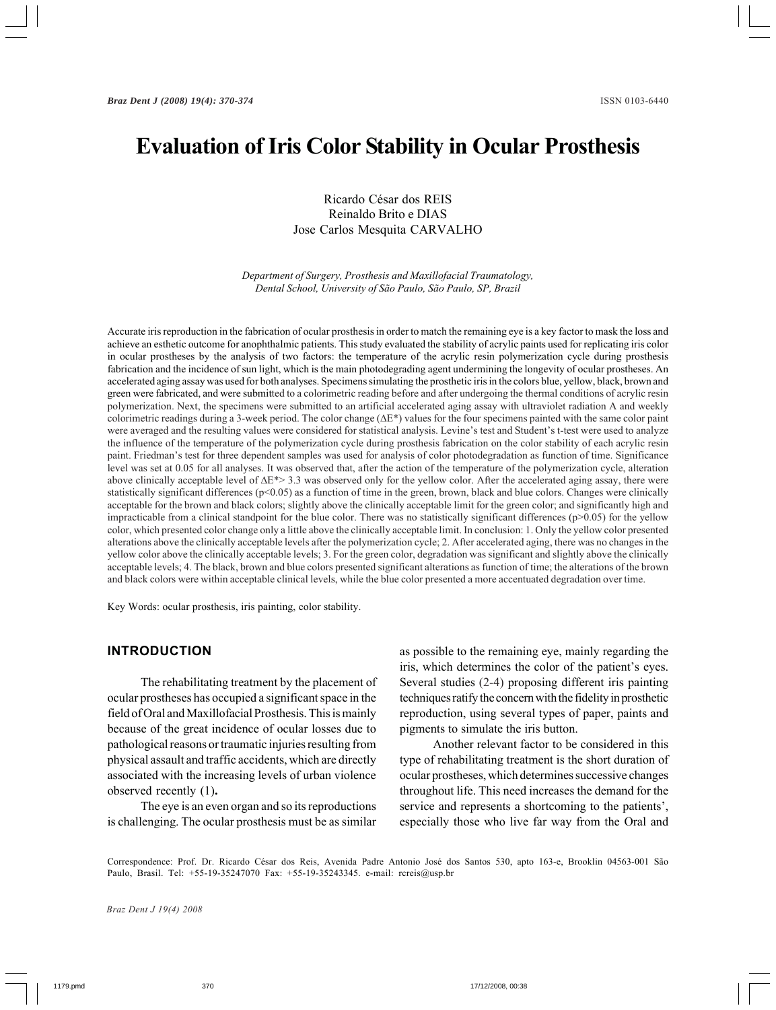# **Evaluation of Iris Color Stability in Ocular Prosthesis**

Ricardo César dos REIS Reinaldo Brito e DIAS Jose Carlos Mesquita CARVALHO

*Department of Surgery, Prosthesis and Maxillofacial Traumatology, Dental School, University of São Paulo, São Paulo, SP, Brazil*

Accurate iris reproduction in the fabrication of ocular prosthesis in order to match the remaining eye is a key factor to mask the loss and achieve an esthetic outcome for anophthalmic patients. This study evaluated the stability of acrylic paints used for replicating iris color in ocular prostheses by the analysis of two factors: the temperature of the acrylic resin polymerization cycle during prosthesis fabrication and the incidence of sun light, which is the main photodegrading agent undermining the longevity of ocular prostheses. An accelerated aging assay was used for both analyses. Specimens simulating the prosthetic iris in the colors blue, yellow, black, brown and green were fabricated, and were submitted to a colorimetric reading before and after undergoing the thermal conditions of acrylic resin polymerization. Next, the specimens were submitted to an artificial accelerated aging assay with ultraviolet radiation A and weekly colorimetric readings during a 3-week period. The color change  $(\Delta E^*)$  values for the four specimens painted with the same color paint were averaged and the resulting values were considered for statistical analysis. Levine's test and Student's t-test were used to analyze the influence of the temperature of the polymerization cycle during prosthesis fabrication on the color stability of each acrylic resin paint. Friedman's test for three dependent samples was used for analysis of color photodegradation as function of time. Significance level was set at 0.05 for all analyses. It was observed that, after the action of the temperature of the polymerization cycle, alteration above clinically acceptable level of  $\Delta E^{*}$  3.3 was observed only for the yellow color. After the accelerated aging assay, there were statistically significant differences (p<0.05) as a function of time in the green, brown, black and blue colors. Changes were clinically acceptable for the brown and black colors; slightly above the clinically acceptable limit for the green color; and significantly high and impracticable from a clinical standpoint for the blue color. There was no statistically significant differences  $(p>0.05)$  for the yellow color, which presented color change only a little above the clinically acceptable limit. In conclusion: 1. Only the yellow color presented alterations above the clinically acceptable levels after the polymerization cycle; 2. After accelerated aging, there was no changes in the yellow color above the clinically acceptable levels; 3. For the green color, degradation was significant and slightly above the clinically acceptable levels; 4. The black, brown and blue colors presented significant alterations as function of time; the alterations of the brown and black colors were within acceptable clinical levels, while the blue color presented a more accentuated degradation over time.

Key Words: ocular prosthesis, iris painting, color stability.

# **INTRODUCTION**

The rehabilitating treatment by the placement of ocular prostheses has occupied a significant space in the field of Oral and Maxillofacial Prosthesis. This is mainly because of the great incidence of ocular losses due to pathological reasons or traumatic injuries resulting from physical assault and traffic accidents, which are directly associated with the increasing levels of urban violence observed recently (1)**.**

The eye is an even organ and so its reproductions is challenging. The ocular prosthesis must be as similar as possible to the remaining eye, mainly regarding the iris, which determines the color of the patient's eyes. Several studies (2-4) proposing different iris painting techniques ratify the concern with the fidelity in prosthetic reproduction, using several types of paper, paints and pigments to simulate the iris button.

Another relevant factor to be considered in this type of rehabilitating treatment is the short duration of ocular prostheses, which determines successive changes throughout life. This need increases the demand for the service and represents a shortcoming to the patients', especially those who live far way from the Oral and

Correspondence: Prof. Dr. Ricardo César dos Reis, Avenida Padre Antonio José dos Santos 530, apto 163-e, Brooklin 04563-001 São Paulo, Brasil. Tel: +55-19-35247070 Fax: +55-19-35243345. e-mail: rcreis@usp.br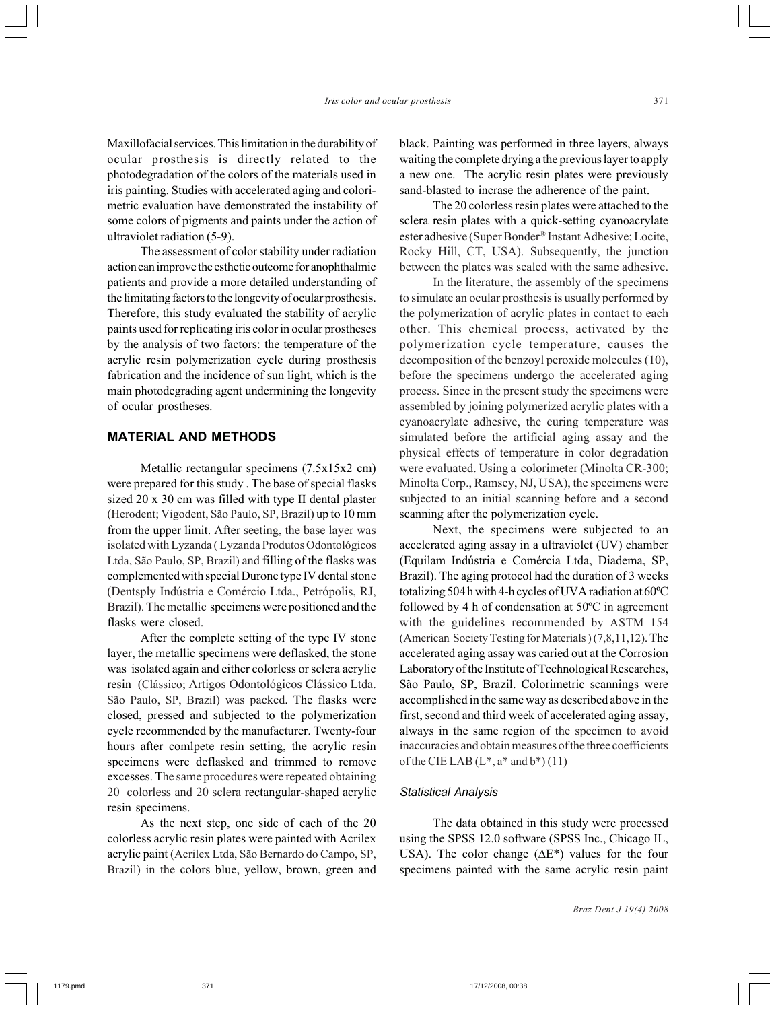Maxillofacial services. This limitation in the durability of ocular prosthesis is directly related to the photodegradation of the colors of the materials used in iris painting. Studies with accelerated aging and colorimetric evaluation have demonstrated the instability of some colors of pigments and paints under the action of ultraviolet radiation (5-9).

The assessment of color stability under radiation action can improve the esthetic outcome for anophthalmic patients and provide a more detailed understanding of the limitating factors to the longevity of ocular prosthesis. Therefore, this study evaluated the stability of acrylic paints used for replicating iris color in ocular prostheses by the analysis of two factors: the temperature of the acrylic resin polymerization cycle during prosthesis fabrication and the incidence of sun light, which is the main photodegrading agent undermining the longevity of ocular prostheses.

## **MATERIAL AND METHODS**

Metallic rectangular specimens (7.5x15x2 cm) were prepared for this study . The base of special flasks sized 20 x 30 cm was filled with type II dental plaster (Herodent; Vigodent, São Paulo, SP, Brazil) up to 10 mm from the upper limit. After seeting, the base layer was isolated with Lyzanda ( Lyzanda Produtos Odontológicos Ltda, São Paulo, SP, Brazil) and filling of the flasks was complemented with special Durone type IV dental stone (Dentsply Indústria e Comércio Ltda., Petrópolis, RJ, Brazil). The metallic specimens were positioned and the flasks were closed.

After the complete setting of the type IV stone layer, the metallic specimens were deflasked, the stone was isolated again and either colorless or sclera acrylic resin (Clássico; Artigos Odontológicos Clássico Ltda. São Paulo, SP, Brazil) was packed. The flasks were closed, pressed and subjected to the polymerization cycle recommended by the manufacturer. Twenty-four hours after comlpete resin setting, the acrylic resin specimens were deflasked and trimmed to remove excesses. The same procedures were repeated obtaining 20 colorless and 20 sclera rectangular-shaped acrylic resin specimens.

As the next step, one side of each of the 20 colorless acrylic resin plates were painted with Acrilex acrylic paint (Acrilex Ltda, São Bernardo do Campo, SP, Brazil) in the colors blue, yellow, brown, green and

black. Painting was performed in three layers, always waiting the complete drying a the previous layer to apply a new one. The acrylic resin plates were previously sand-blasted to incrase the adherence of the paint.

The 20 colorless resin plates were attached to the sclera resin plates with a quick-setting cyanoacrylate ester adhesive (Super Bonder® Instant Adhesive; Locite, Rocky Hill, CT, USA). Subsequently, the junction between the plates was sealed with the same adhesive.

In the literature, the assembly of the specimens to simulate an ocular prosthesis is usually performed by the polymerization of acrylic plates in contact to each other. This chemical process, activated by the polymerization cycle temperature, causes the decomposition of the benzoyl peroxide molecules (10), before the specimens undergo the accelerated aging process. Since in the present study the specimens were assembled by joining polymerized acrylic plates with a cyanoacrylate adhesive, the curing temperature was simulated before the artificial aging assay and the physical effects of temperature in color degradation were evaluated. Using a colorimeter (Minolta CR-300; Minolta Corp., Ramsey, NJ, USA), the specimens were subjected to an initial scanning before and a second scanning after the polymerization cycle.

Next, the specimens were subjected to an accelerated aging assay in a ultraviolet (UV) chamber (Equilam Indústria e Comércia Ltda, Diadema, SP, Brazil). The aging protocol had the duration of 3 weeks totalizing 504 h with 4-h cycles of UVA radiation at 60ºC followed by 4 h of condensation at 50ºC in agreement with the guidelines recommended by ASTM 154 (American Society Testing for Materials ) (7,8,11,12). The accelerated aging assay was caried out at the Corrosion Laboratory of the Institute of Technological Researches, São Paulo, SP, Brazil. Colorimetric scannings were accomplished in the same way as described above in the first, second and third week of accelerated aging assay, always in the same region of the specimen to avoid inaccuracies and obtain measures of the three coefficients of the CIE LAB  $(L^*, a^*$  and  $b^*)(11)$ 

#### *Statistical Analysis*

The data obtained in this study were processed using the SPSS 12.0 software (SPSS Inc., Chicago IL, USA). The color change  $(\Delta E^*)$  values for the four specimens painted with the same acrylic resin paint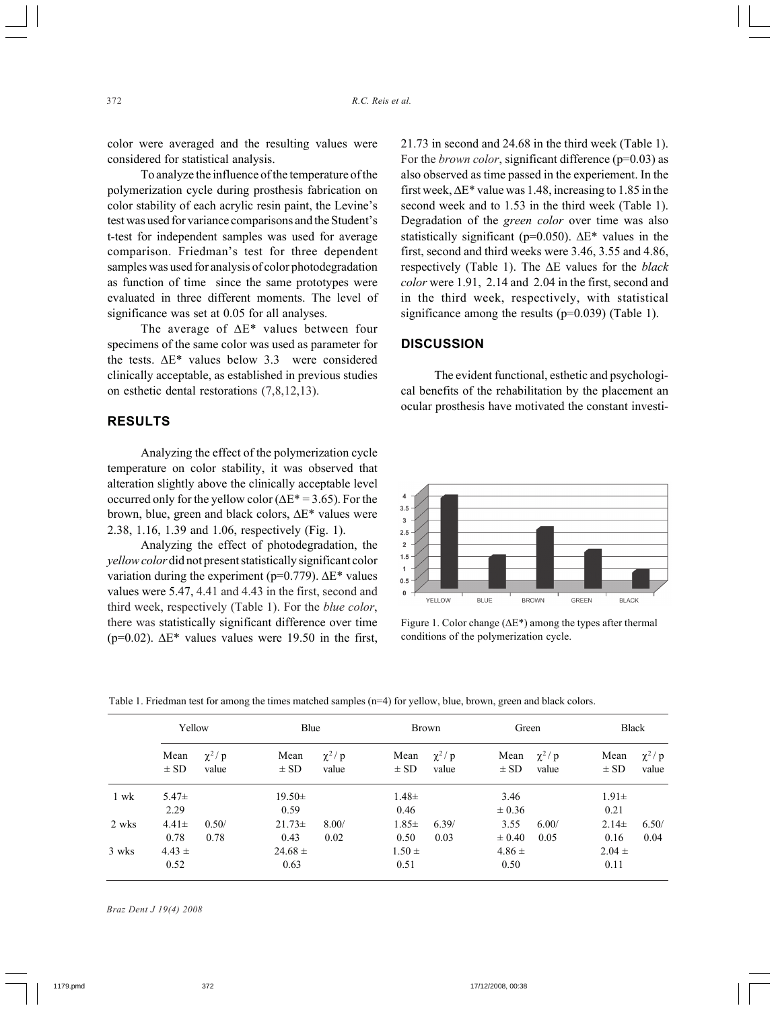color were averaged and the resulting values were considered for statistical analysis.

To analyze the influence of the temperature of the polymerization cycle during prosthesis fabrication on color stability of each acrylic resin paint, the Levine's test was used for variance comparisons and the Student's t-test for independent samples was used for average comparison. Friedman's test for three dependent samples was used for analysis of color photodegradation as function of time since the same prototypes were evaluated in three different moments. The level of significance was set at 0.05 for all analyses.

The average of  $\Delta E^*$  values between four specimens of the same color was used as parameter for the tests.  $\Delta E^*$  values below 3.3 were considered clinically acceptable, as established in previous studies on esthetic dental restorations (7,8,12,13).

## **RESULTS**

Analyzing the effect of the polymerization cycle temperature on color stability, it was observed that alteration slightly above the clinically acceptable level occurred only for the yellow color ( $\Delta E^* = 3.65$ ). For the brown, blue, green and black colors,  $\Delta E^*$  values were 2.38, 1.16, 1.39 and 1.06, respectively (Fig. 1).

Analyzing the effect of photodegradation, the *yellow color* did not present statistically significant color variation during the experiment ( $p=0.779$ ).  $\Delta E^*$  values values were 5.47, 4.41 and 4.43 in the first, second and third week, respectively (Table 1). For the *blue color*, there was statistically significant difference over time (p=0.02).  $\Delta E^*$  values values were 19.50 in the first, 21.73 in second and 24.68 in the third week (Table 1). For the *brown color*, significant difference (p=0.03) as also observed as time passed in the experiement. In the first week,  $\Delta E^*$  value was 1.48, increasing to 1.85 in the second week and to 1.53 in the third week (Table 1). Degradation of the *green color* over time was also statistically significant ( $p=0.050$ ).  $\Delta E^*$  values in the first, second and third weeks were 3.46, 3.55 and 4.86, respectively (Table 1). The  $\Delta E$  values for the *black color* were 1.91, 2.14 and 2.04 in the first, second and in the third week, respectively, with statistical significance among the results  $(p=0.039)$  (Table 1).

## **DISCUSSION**

The evident functional, esthetic and psychological benefits of the rehabilitation by the placement an ocular prosthesis have motivated the constant investi-



Figure 1. Color change ( $\Delta E^*$ ) among the types after thermal conditions of the polymerization cycle.

|       | Yellow           |                       | Blue             |                       | Brown            |                       | Green            |                       | <b>Black</b>     |                       |
|-------|------------------|-----------------------|------------------|-----------------------|------------------|-----------------------|------------------|-----------------------|------------------|-----------------------|
|       | Mean<br>$\pm$ SD | $\chi^2$ / p<br>value | Mean<br>$\pm$ SD | $\chi^2$ / p<br>value | Mean<br>$\pm$ SD | $\chi^2$ / p<br>value | Mean<br>$\pm$ SD | $\chi^2$ / p<br>value | Mean<br>$\pm$ SD | $\chi^2$ / p<br>value |
| 1 wk  | $5.47\pm$        |                       | $19.50 \pm$      |                       | $1.48\pm$        |                       | 3.46             |                       | $1.91\pm$        |                       |
|       | 2.29             |                       | 0.59             |                       | 0.46             |                       | $\pm 0.36$       |                       | 0.21             |                       |
| 2 wks | $4.41 \pm$       | 0.50/                 | $21.73 \pm$      | 8.00/                 | $1.85 \pm$       | 6.39/                 | 3.55             | 6.00/                 | $2.14 \pm$       | 6.50/                 |
|       | 0.78             | 0.78                  | 0.43             | 0.02                  | 0.50             | 0.03                  | $\pm 0.40$       | 0.05                  | 0.16             | 0.04                  |
| 3 wks | $4.43 \pm$       |                       | $24.68 \pm$      |                       | $1.50 \pm$       |                       | $4.86 \pm$       |                       | $2.04 \pm$       |                       |
|       | 0.52             |                       | 0.63             |                       | 0.51             |                       | 0.50             |                       | 0.11             |                       |

Table 1. Friedman test for among the times matched samples (n=4) for yellow, blue, brown, green and black colors.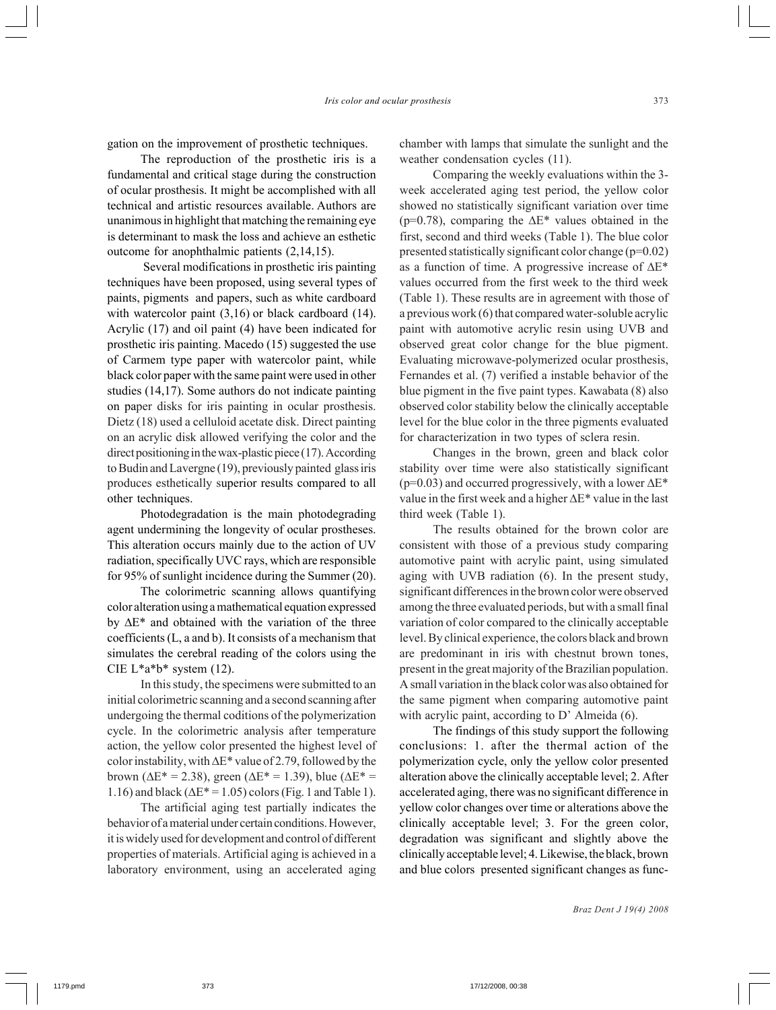gation on the improvement of prosthetic techniques.

The reproduction of the prosthetic iris is a fundamental and critical stage during the construction of ocular prosthesis. It might be accomplished with all technical and artistic resources available. Authors are unanimous in highlight that matching the remaining eye is determinant to mask the loss and achieve an esthetic outcome for anophthalmic patients (2,14,15).

 Several modifications in prosthetic iris painting techniques have been proposed, using several types of paints, pigments and papers, such as white cardboard with watercolor paint (3,16) or black cardboard (14). Acrylic (17) and oil paint (4) have been indicated for prosthetic iris painting. Macedo (15) suggested the use of Carmem type paper with watercolor paint, while black color paper with the same paint were used in other studies (14,17). Some authors do not indicate painting on paper disks for iris painting in ocular prosthesis. Dietz (18) used a celluloid acetate disk. Direct painting on an acrylic disk allowed verifying the color and the direct positioning in the wax-plastic piece (17). According to Budin and Lavergne (19), previously painted glass iris produces esthetically superior results compared to all other techniques.

Photodegradation is the main photodegrading agent undermining the longevity of ocular prostheses. This alteration occurs mainly due to the action of UV radiation, specifically UVC rays, which are responsible for 95% of sunlight incidence during the Summer (20).

The colorimetric scanning allows quantifying color alteration using a mathematical equation expressed by  $\Delta E^*$  and obtained with the variation of the three coefficients (L, a and b). It consists of a mechanism that simulates the cerebral reading of the colors using the CIE L\*a\*b\* system  $(12)$ .

In this study, the specimens were submitted to an initial colorimetric scanning and a second scanning after undergoing the thermal coditions of the polymerization cycle. In the colorimetric analysis after temperature action, the yellow color presented the highest level of color instability, with  $\Delta E^*$  value of 2.79, followed by the brown ( $\Delta E^* = 2.38$ ), green ( $\Delta E^* = 1.39$ ), blue ( $\Delta E^* =$ 1.16) and black ( $\Delta E^*$  = 1.05) colors (Fig. 1 and Table 1).

The artificial aging test partially indicates the behavior of a material under certain conditions. However, it is widely used for development and control of different properties of materials. Artificial aging is achieved in a laboratory environment, using an accelerated aging

chamber with lamps that simulate the sunlight and the weather condensation cycles (11).

Comparing the weekly evaluations within the 3 week accelerated aging test period, the yellow color showed no statistically significant variation over time ( $p=0.78$ ), comparing the  $\Delta E^*$  values obtained in the first, second and third weeks (Table 1). The blue color presented statistically significant color change (p=0.02) as a function of time. A progressive increase of  $\Delta E^*$ values occurred from the first week to the third week (Table 1). These results are in agreement with those of a previous work (6) that compared water-soluble acrylic paint with automotive acrylic resin using UVB and observed great color change for the blue pigment. Evaluating microwave-polymerized ocular prosthesis, Fernandes et al. (7) verified a instable behavior of the blue pigment in the five paint types. Kawabata (8) also observed color stability below the clinically acceptable level for the blue color in the three pigments evaluated for characterization in two types of sclera resin.

Changes in the brown, green and black color stability over time were also statistically significant  $(p=0.03)$  and occurred progressively, with a lower  $\Delta E^*$ value in the first week and a higher  $\Delta E^*$  value in the last third week (Table 1).

The results obtained for the brown color are consistent with those of a previous study comparing automotive paint with acrylic paint, using simulated aging with UVB radiation (6). In the present study, significant differences in the brown color were observed among the three evaluated periods, but with a small final variation of color compared to the clinically acceptable level. By clinical experience, the colors black and brown are predominant in iris with chestnut brown tones, present in the great majority of the Brazilian population. A small variation in the black color was also obtained for the same pigment when comparing automotive paint with acrylic paint, according to D' Almeida (6).

The findings of this study support the following conclusions: 1. after the thermal action of the polymerization cycle, only the yellow color presented alteration above the clinically acceptable level; 2. After accelerated aging, there was no significant difference in yellow color changes over time or alterations above the clinically acceptable level; 3. For the green color, degradation was significant and slightly above the clinically acceptable level; 4. Likewise, the black, brown and blue colors presented significant changes as func